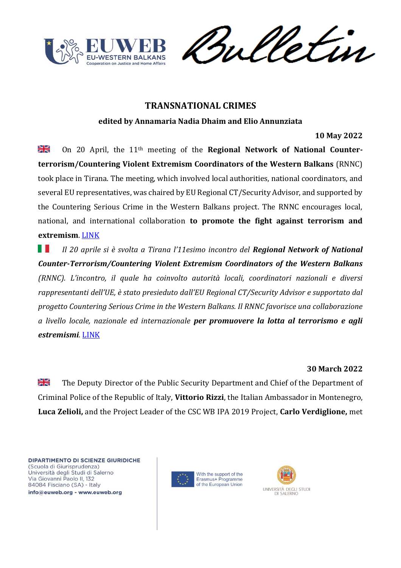

weletin

# **TRANSNATIONAL CRIMES**

**edited by Annamaria Nadia Dhaim and Elio Annunziata**

**10 May 2022**

≱≼ On 20 April, the 11th meeting of the **Regional Network of National Counterterrorism/Countering Violent Extremism Coordinators of the Western Balkans** (RNNC) took place in Tirana. The meeting, which involved local authorities, national coordinators, and several EU representatives, was chaired by EU Regional CT/Security Advisor, and supported by the Countering Serious Crime in the Western Balkans project. The RNNC encourages local, national, and international collaboration **to promote the fight against terrorism and extremism**. [LINK](https://cscwb.info/2022/05/10/meeting-of-national-ct-cve-coordinators-in-tirana/)

. . *Il 20 aprile si è svolta a Tirana l'11esimo incontro del Regional Network of National Counter-Terrorism/Countering Violent Extremism Coordinators of the Western Balkans (RNNC). L'incontro, il quale ha coinvolto autorità locali, coordinatori nazionali e diversi rappresentanti dell'UE, è stato presieduto dall'EU Regional CT/Security Advisor e supportato dal progetto Countering Serious Crime in the Western Balkans. Il RNNC favorisce una collaborazione a livello locale, nazionale ed internazionale per promuovere la lotta al terrorismo e agli estremismi.* [LINK](https://cscwb.info/2022/05/10/meeting-of-national-ct-cve-coordinators-in-tirana/)

## **30 March 2022**

꼭 The Deputy Director of the Public Security Department and Chief of the Department of Criminal Police of the Republic of Italy, **Vittorio Rizzi**, the Italian Ambassador in Montenegro, **Luca Zelioli,** and the Project Leader of the CSC WB IPA 2019 Project, **Carlo Verdiglione,** met



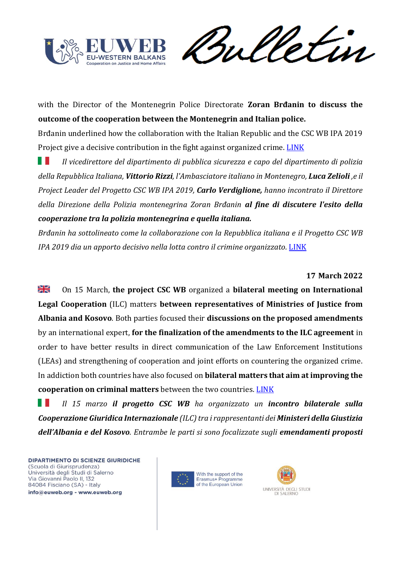

Sulletin

with the Director of the Montenegrin Police Directorate **Zoran Brđanin to discuss the outcome of the cooperation between the Montenegrin and Italian police.** 

Brđanin underlined how the collaboration with the Italian Republic and the CSC WB IPA 2019 Project give a decisive contribution in the fight against organized crime. [LINK](https://cscwb.info/2022/03/30/8439/)

ш *Il vicedirettore del dipartimento di pubblica sicurezza e capo del dipartimento di polizia della Repubblica Italiana, Vittorio Rizzi, l'Ambasciatore italiano in Montenegro, Luca Zelioli ,e il Project Leader del Progetto CSC WB IPA 2019, Carlo Verdiglione, hanno incontrato il Direttore della Direzione della Polizia montenegrina Zoran Brđanin al fine di discutere l'esito della cooperazione tra la polizia montenegrina e quella italiana.* 

*Brđanin ha sottolineato come la collaborazione con la Repubblica italiana e il Progetto CSC WB IPA 2019 dia un apporto decisivo nella lotta contro il crimine organizzato.* [LINK](https://cscwb.info/2022/03/30/8439/)

## **17 March 2022**

≱ছ On 15 March, **the project CSC WB** organized a **bilateral meeting on International Legal Cooperation** (ILC) matters **between representatives of Ministries of Justice from Albania and Kosovo**. Both parties focused their **discussions on the proposed amendments** by an international expert, **for the finalization of the amendments to the ILC agreement** in order to have better results in direct communication of the Law Enforcement Institutions (LEAs) and strengthening of cooperation and joint efforts on countering the organized crime. In addiction both countries have also focused on **bilateral matters that aim at improving the cooperation on criminal matters** between the two countries. [LINK](https://cscwb.info/2022/03/17/albanian-and-kosovar-ministries-of-justice/)

w *Il 15 marzo il progetto CSC WB ha organizzato un incontro bilaterale sulla Cooperazione Giuridica Internazionale (ILC) tra i rappresentanti dei Ministeri della Giustizia dell'Albania e del Kosovo. Entrambe le parti si sono focalizzate sugli emendamenti proposti* 



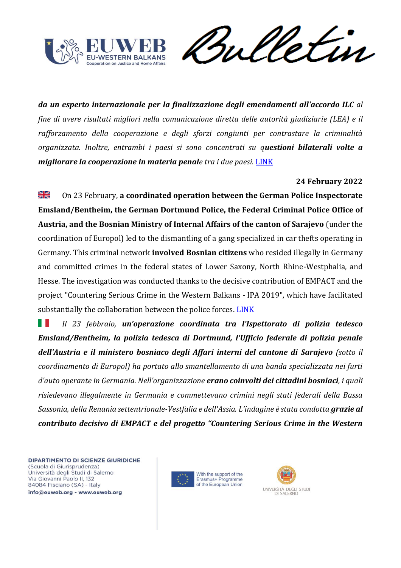

Sulletin

*da un esperto internazionale per la finalizzazione degli emendamenti all'accordo ILC al fine di avere risultati migliori nella comunicazione diretta delle autorità giudiziarie (LEA) e il rafforzamento della cooperazione e degli sforzi congiunti per contrastare la criminalità organizzata. Inoltre, entrambi i paesi si sono concentrati su questioni bilaterali volte a migliorare la cooperazione in materia penale tra i due paesi.* [LINK](https://cscwb.info/2022/03/17/albanian-and-kosovar-ministries-of-justice/)

## **24 February 2022**

꾍 On 23 February, **a coordinated operation between the German Police Inspectorate Emsland/Bentheim, the German Dortmund Police, the Federal Criminal Police Office of Austria, and the Bosnian Ministry of Internal Affairs of the canton of Sarajevo** (under the coordination of Europol) led to the dismantling of a gang specialized in car thefts operating in Germany. This criminal network **involved Bosnian citizens** who resided illegally in Germany and committed crimes in the federal states of Lower Saxony, North Rhine-Westphalia, and Hesse. The investigation was conducted thanks to the decisive contribution of EMPACT and the project "Countering Serious Crime in the Western Balkans - IPA 2019", which have facilitated substantially the collaboration between the police forces. [LINK](https://cscwb.info/2022/02/24/arrest-in-germany-of-3-suspects-involved-in-theft-of-eur-1-5-million-worth-of-vehicles/)

w *Il 23 febbraio, un'operazione coordinata tra l'Ispettorato di polizia tedesco Emsland/Bentheim, la polizia tedesca di Dortmund, l'Ufficio federale di polizia penale dell'Austria e il ministero bosniaco degli Affari interni del cantone di Sarajevo (sotto il coordinamento di Europol) ha portato allo smantellamento di una banda specializzata nei furti d'auto operante in Germania. Nell'organizzazione erano coinvolti dei cittadini bosniaci, i quali risiedevano illegalmente in Germania e commettevano crimini negli stati federali della Bassa Sassonia, della Renania settentrionale-Vestfalia e dell'Assia. L'indagine è stata condotta grazie al contributo decisivo di EMPACT e del progetto "Countering Serious Crime in the Western* 



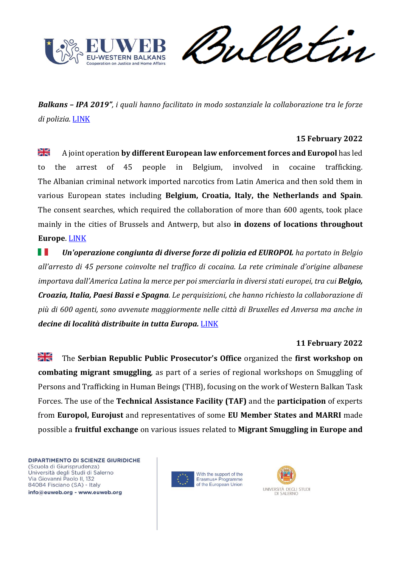

Vetin ril

*Balkans – IPA 2019", i quali hanno facilitato in modo sostanziale la collaborazione tra le forze di polizia.* [LINK](https://cscwb.info/2022/02/24/arrest-in-germany-of-3-suspects-involved-in-theft-of-eur-1-5-million-worth-of-vehicles/)

### **15 February 2022**

꽃 A joint operation **by different European law enforcement forces and Europol** has led to the arrest of 45 people in Belgium, involved in cocaine trafficking. The Albanian criminal network imported narcotics from Latin America and then sold them in various European states including **Belgium, Croatia, Italy, the Netherlands and Spain**. The consent searches, which required the collaboration of more than 600 agents, took place mainly in the cities of Brussels and Antwerp, but also **in dozens of locations throughout Europe**. [LINK](https://www.euronews.com/2022/02/15/dozens-arrested-in-belgium-and-spain-in-major-drug-trafficking-operation)

ш *Un'operazione congiunta di diverse forze di polizia ed EUROPOL ha portato in Belgio all'arresto di 45 persone coinvolte nel traffico di cocaina. La rete criminale d'origine albanese importava dall'America Latina la merce per poi smerciarla in diversi stati europei, tra cui Belgio, Croazia, Italia, Paesi Bassi e Spagna. Le perquisizioni, che hanno richiesto la collaborazione di più di 600 agenti, sono avvenute maggiormente nelle città di Bruxelles ed Anversa ma anche in decine di località distribuite in tutta Europa.* [LINK](https://www.euronews.com/2022/02/15/dozens-arrested-in-belgium-and-spain-in-major-drug-trafficking-operation)

## **11 February 2022**

≱≼ The **Serbian Republic Public Prosecutor's Office** organized the **first workshop on combating migrant smuggling**, as part of a series of regional workshops on Smuggling of Persons and Trafficking in Human Beings (THB), focusing on the work of Western Balkan Task Forces. The use of the **Technical Assistance Facility (TAF)** and the **participation** of experts from **Europol, Eurojust** and representatives of some **EU Member States and MARRI** made possible a **fruitful exchange** on various issues related to **Migrant Smuggling in Europe and** 



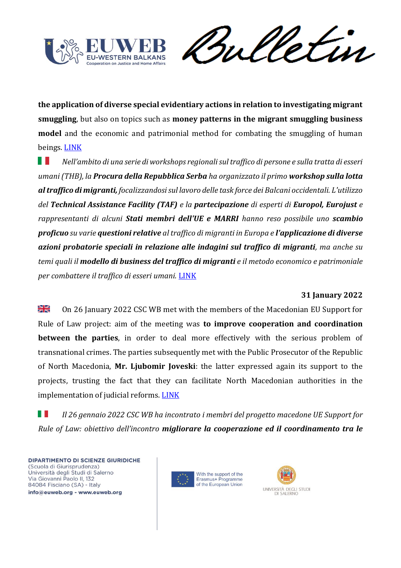

Vetin rul

**the application of diverse special evidentiary actions in relation to investigating migrant smuggling**, but also on topics such as **money patterns in the migrant smuggling business model** and the economic and patrimonial method for combating the smuggling of human beings. [LINK](https://cscwb.info/2022/02/11/technical-assistance-facility-taf-workshop-on-combatting-migrant-smuggling/)

ш *Nell'ambito di una serie di workshops regionali sul traffico di persone e sulla tratta di esseri umani (THB), la Procura della Repubblica Serba ha organizzato il primo workshop sulla lotta al traffico di migranti, focalizzandosi sul lavoro delle task force dei Balcani occidentali. L'utilizzo del Technical Assistance Facility (TAF) e la partecipazione di esperti di Europol, Eurojust e rappresentanti di alcuni Stati membri dell'UE e MARRI hanno reso possibile uno scambio proficuo su varie questioni relative al traffico di migranti in Europa e l'applicazione di diverse azioni probatorie speciali in relazione alle indagini sul traffico di migranti, ma anche su temi quali il modello di business del traffico di migranti e il metodo economico e patrimoniale per combattere il traffico di esseri umani.* [LINK](https://cscwb.info/2022/02/11/technical-assistance-facility-taf-workshop-on-combatting-migrant-smuggling/)

# **31 January 2022**

≫l⊠ On 26 January 2022 CSC WB met with the members of the Macedonian EU Support for Rule of Law project: aim of the meeting was **to improve cooperation and coordination between the parties**, in order to deal more effectively with the serious problem of transnational crimes. The parties subsequently met with the Public Prosecutor of the Republic of North Macedonia, **Mr. Ljubomir Joveski**: the latter expressed again its support to the projects, trusting the fact that they can facilitate North Macedonian authorities in the implementation of judicial reforms. [LINK](https://cscwb.info/2022/01/31/csc-wb-meets-eu-support-for-rule-of-law-project-and-the-public-prosecutor-of-north-macedonia/)

8 R *Il 26 gennaio 2022 CSC WB ha incontrato i membri del progetto macedone UE Support for Rule of Law: obiettivo dell'incontro migliorare la cooperazione ed il coordinamento tra le* 



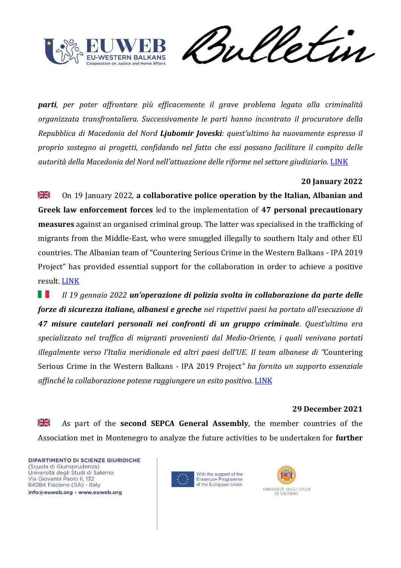



*parti, per poter affrontare più efficacemente il grave problema legato alla criminalità organizzata transfrontaliera. Successivamente le parti hanno incontrato il procuratore della Repubblica di Macedonia del Nord Ljubomir Joveski: quest'ultimo ha nuovamente espresso il proprio sostegno ai progetti, confidando nel fatto che essi possano facilitare il compito delle autorità della Macedonia del Nord nell'attuazione delle riforme nel settore giudiziario.* [LINK](https://cscwb.info/2022/01/31/csc-wb-meets-eu-support-for-rule-of-law-project-and-the-public-prosecutor-of-north-macedonia/)

## **20 January 2022**

≫l⊠ On 19 January 2022, **a collaborative police operation by the Italian, Albanian and Greek law enforcement forces** led to the implementation of **47 personal precautionary measures** against an organised criminal group. The latter was specialised in the trafficking of migrants from the Middle-East, who were smuggled illegally to southern Italy and other EU countries. The Albanian team of "Countering Serious Crime in the Western Balkans - IPA 2019 Project" has provided essential support for the collaboration in order to achieve a positive result. [LINK](https://cscwb.info/2022/01/20/csc-wb-contributes-to-seizure-of-1530-firearms/)

ш *Il 19 gennaio 2022 un'operazione di polizia svolta in collaborazione da parte delle forze di sicurezza italiane, albanesi e greche nei rispettivi paesi ha portato all'esecuzione di 47 misure cautelari personali nei confronti di un gruppo criminale. Quest'ultimo era specializzato nel traffico di migranti provenienti dal Medio-Oriente, i quali venivano portati illegalmente verso l'Italia meridionale ed altri paesi dell'UE. Il team albanese di "*Countering Serious Crime in the Western Balkans - IPA 2019 Project*" ha fornito un supporto essenziale affinché la collaborazione potesse raggiungere un esito positivo.* [LINK](https://cscwb.info/2022/01/20/csc-wb-contributes-to-seizure-of-1530-firearms/)

#### **29 December 2021**

≱ছ As part of the **second SEPCA General Assembly**, the member countries of the Association met in Montenegro to analyze the future activities to be undertaken for **further** 



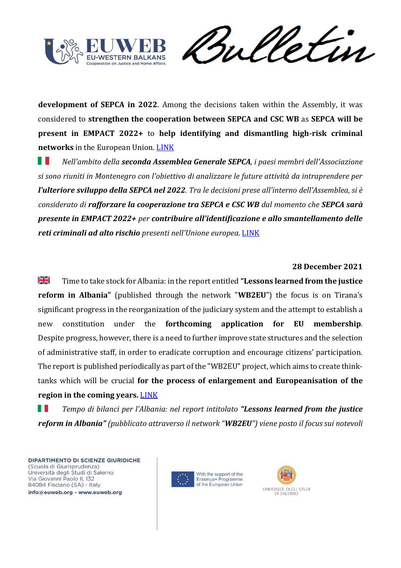

Vetin rul

**development of SEPCA in 2022**. Among the decisions taken within the Assembly, it was considered to **strengthen the cooperation between SEPCA and CSC WB** as **SEPCA will be present in EMPACT 2022+** to **help identifying and dismantling high-risk criminal networks** in the European Union. [LINK](https://cscwb.info/2021/12/29/sepca-2nd-general-assembly-strenghtening-the-cooperation-between-csc-wb-and-sepca/)

ш *Nell'ambito della seconda Assemblea Generale SEPCA, i paesi membri dell'Associazione si sono riuniti in Montenegro con l'obiettivo di analizzare le future attività da intraprendere per l'ulteriore sviluppo della SEPCA nel 2022. Tra le decisioni prese all'interno dell'Assemblea, si è considerato di rafforzare la cooperazione tra SEPCA e CSC WB dal momento che SEPCA sarà presente in EMPACT 2022+ per contribuire all'identificazione e allo smantellamento delle reti criminali ad alto rischio presenti nell'Unione europea.* [LINK](https://cscwb.info/2021/12/29/sepca-2nd-general-assembly-strenghtening-the-cooperation-between-csc-wb-and-sepca/)

#### **28 December 2021**

질은<br>제주 Time to take stock for Albania: in the report entitled **"Lessons learned from the justice reform in Albania"** (published through the network "**WB2EU**") the focus is on Tirana's significant progress in the reorganization of the judiciary system and the attempt to establish a new constitution under the **forthcoming application for EU membership**. Despite progress, however, there is a need to further improve state structures and the selection of administrative staff, in order to eradicate corruption and encourage citizens' participation. The report is published periodically as part of the "WB2EU" project, which aims to create thinktanks which will be crucial **for the process of enlargement and Europeanisation of the region in the coming years.** [LINK](https://europeanwesternbalkans.com/2021/12/28/policy-brief-the-lessons-of-the-justice-reform-in-albania-can-be-applied-to-other-wb-countries/)

Ш *Tempo di bilanci per l'Albania: nel report intitolato "Lessons learned from the justice reform in Albania" (pubblicato attraverso il network "WB2EU") viene posto il focus sui notevoli* 



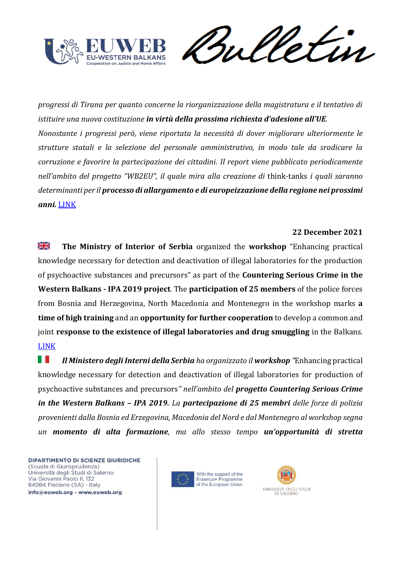

weletin

*progressi di Tirana per quanto concerne la riorganizzazione della magistratura e il tentativo di istituire una nuova costituzione in virtù della prossima richiesta d'adesione all'UE. Nonostante i progressi però, viene riportata la necessità di dover migliorare ulteriormente le strutture statali e la selezione del personale amministrativo, in modo tale da sradicare la corruzione e favorire la partecipazione dei cittadini. Il report viene pubblicato periodicamente nell'ambito del progetto "WB2EU", il quale mira alla creazione di* think-tanks *i quali saranno determinanti per il processo di allargamento e di europeizzazione della regione nei prossimi anni.* [LINK](https://europeanwesternbalkans.com/2021/12/28/policy-brief-the-lessons-of-the-justice-reform-in-albania-can-be-applied-to-other-wb-countries/)

### **22 December 2021**

≱≼ **The Ministry of Interior of Serbia** organized the **workshop** "Enhancing practical knowledge necessary for detection and deactivation of illegal laboratories for the production of psychoactive substances and precursors" as part of the **Countering Serious Crime in the Western Balkans - IPA 2019 project**. The **participation of 25 members** of the police forces from Bosnia and Herzegovina, North Macedonia and Montenegro in the workshop marks **a time of high training** and an **opportunity for further cooperation** to develop a common and joint **response to the existence of illegal laboratories and drug smuggling** in the Balkans. [LINK](https://cscwb.info/2021/12/22/workshop-detection-and-deactivation-of-illegal-laboratories/)

ш *Il Ministero degli Interni della Serbia ha organizzato il workshop "*Enhancing practical knowledge necessary for detection and deactivation of illegal laboratories for production of psychoactive substances and precursors*" nell'ambito del progetto Countering Serious Crime in the Western Balkans – IPA 2019. La partecipazione di 25 membri delle forze di polizia provenienti dalla Bosnia ed Erzegovina, Macedonia del Nord e dal Montenegro al workshop segna un momento di alta formazione, ma allo stesso tempo un'opportunità di stretta* 



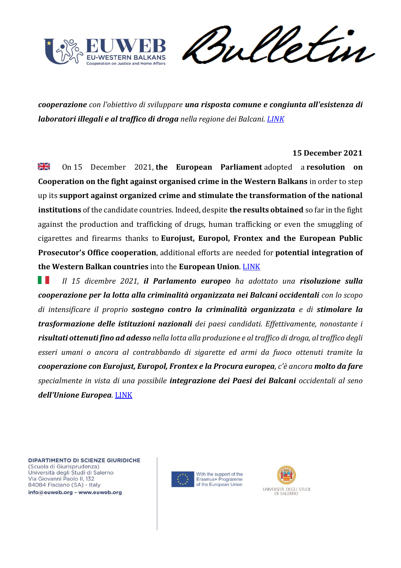

meletin

*cooperazione con l'obiettivo di sviluppare una risposta comune e congiunta all'esistenza di laboratori illegali e al traffico di droga nella regione dei Balcani. [LINK](https://cscwb.info/2021/12/22/workshop-detection-and-deactivation-of-illegal-laboratories/)*

### **15 December 2021**

≫l⊠<br>≫l On 15 December 2021, **the European Parliament** adopted a **resolution on Cooperation on the fight against organised crime in the Western Balkans** in order to step up its **support against organized crime and stimulate the transformation of the national institutions** of the candidate countries. Indeed, despite **the results obtained** so far in the fight against the production and trafficking of drugs, human trafficking or even the smuggling of cigarettes and firearms thanks to **Eurojust, Europol, Frontex and the European Public Prosecutor's Office cooperation**, additional efforts are needed for **potential integration of the Western Balkan countries** into the **European Union**. [LINK](https://www.europarl.europa.eu/doceo/document/TA-9-2021-0506_EN.html)

ш *Il 15 dicembre 2021, il Parlamento europeo ha adottato una risoluzione sulla cooperazione per la lotta alla criminalità organizzata nei Balcani occidentali con lo scopo di intensificare il proprio sostegno contro la criminalità organizzata e di stimolare la trasformazione delle istituzioni nazionali dei paesi candidati. Effettivamente, nonostante i risultati ottenuti fino ad adesso nella lotta alla produzione e al traffico di droga, al traffico degli esseri umani o ancora al contrabbando di sigarette ed armi da fuoco ottenuti tramite la cooperazione con Eurojust, Europol, Frontex e la Procura europea, c'è ancora molto da fare specialmente in vista di una possibile integrazione dei Paesi dei Balcani occidentali al seno dell'Unione Europea.* [LINK](https://www.europarl.europa.eu/doceo/document/TA-9-2021-0506_EN.html)

DIPARTIMENTO DI SCIENZE GIURIDICHE (Scuola di Giurisprudenza) Università degli Studi di Salerno Via Giovanni Paolo II, 132 84084 Fisciano (SA) - Italy info@euweb.org - www.euweb.org

With the support of the Erasmus+ Programme of the European Union

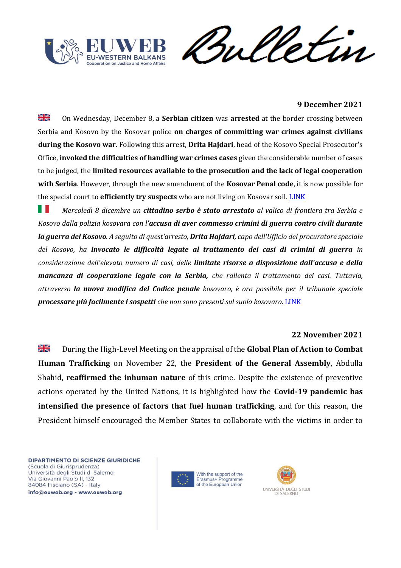

etin rul

### **9 December 2021**

≫i<br>Xi On Wednesday, December 8, a **Serbian citizen** was **arrested** at the border crossing between Serbia and Kosovo by the Kosovar police **on charges of committing war crimes against civilians during the Kosovo war.** Following this arrest, **Drita Hajdari**, head of the Kosovo Special Prosecutor's Office, **invoked the difficulties of handling war crimes cases** given the considerable number of cases to be judged, the **limited resources available to the prosecution and the lack of legal cooperation with Serbia**. However, through the new amendment of the **Kosovar Penal code**, it is now possible for the special court to **efficiently try suspects** who are not living on Kosovar soil. [LINK](https://balkaninsight.com/2021/12/09/kosovo-arrests-serbian-citizen-for-war-crimes-on-border/)

ш *Mercoledì 8 dicembre un cittadino serbo è stato arrestato al valico di frontiera tra Serbia e Kosovo dalla polizia kosovara con l'accusa di aver commesso crimini di guerra contro civili durante la guerra del Kosovo. A seguito di quest'arresto, Drita Hajdari, capo dell'Ufficio del procuratore speciale del Kosovo, ha invocato le difficoltà legate al trattamento dei casi di crimini di guerra in considerazione dell'elevato numero di casi, delle limitate risorse a disposizione dall'accusa e della mancanza di cooperazione legale con la Serbia, che rallenta il trattamento dei casi. Tuttavia, attraverso la nuova modifica del Codice penale kosovaro, è ora possibile per il tribunale speciale processare più facilmente i sospetti che non sono presenti sul suolo kosovaro.* [LINK](https://balkaninsight.com/2021/12/09/kosovo-arrests-serbian-citizen-for-war-crimes-on-border/)

#### **22 November 2021**

꾉뚡 During the High-Level Meeting on the appraisal of the **Global Plan of Action to Combat Human Trafficking** on November 22, the **President of the General Assembly**, Abdulla Shahid, **reaffirmed the inhuman nature** of this crime. Despite the existence of preventive actions operated by the United Nations, it is highlighted how the **Covid-19 pandemic has intensified the presence of factors that fuel human trafficking**, and for this reason, the President himself encouraged the Member States to collaborate with the victims in order to



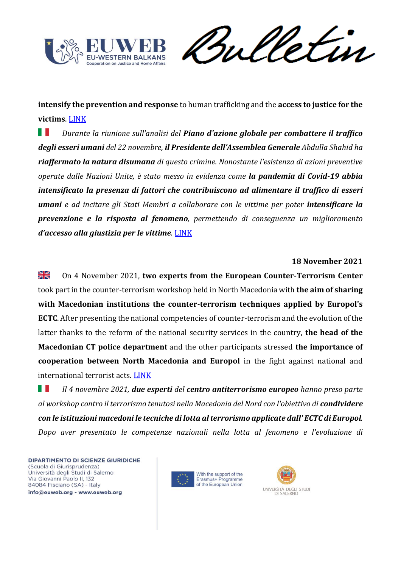

Sulletin

**intensify the prevention and response** to human trafficking and the **access to justice for the victims**. [LINK](https://news.un.org/en/story/2021/11/1106292)

. . *Durante la riunione sull'analisi del Piano d'azione globale per combattere il traffico degli esseri umani del 22 novembre, il Presidente dell'Assemblea Generale Abdulla Shahid ha riaffermato la natura disumana di questo crimine. Nonostante l'esistenza di azioni preventive operate dalle Nazioni Unite, è stato messo in evidenza come la pandemia di Covid-19 abbia intensificato la presenza di fattori che contribuiscono ad alimentare il traffico di esseri umani e ad incitare gli Stati Membri a collaborare con le vittime per poter intensificare la prevenzione e la risposta al fenomeno, permettendo di conseguenza un miglioramento d'accesso alla giustizia per le vittime.* [LINK](https://news.un.org/en/story/2021/11/1106292)

#### **18 November 2021**

≱≼ On 4 November 2021, **two experts from the European Counter-Terrorism Center** took part in the counter-terrorism workshop held in North Macedonia with **the aim of sharing with Macedonian institutions the counter-terrorism techniques applied by Europol's ECTC**. After presenting the national competencies of counter-terrorism and the evolution of the latter thanks to the reform of the national security services in the country, **the head of the Macedonian CT police department** and the other participants stressed **the importance of cooperation between North Macedonia and Europol** in the fight against national and international terrorist acts. [LINK](https://cscwb.info/2021/11/18/macedonian-institutions-advantages-of-cooperation-with-europol-in-the-fight-against-terrorism/)

ш *Il 4 novembre 2021, due esperti del centro antiterrorismo europeo hanno preso parte al workshop contro il terrorismo tenutosi nella Macedonia del Nord con l'obiettivo di condividere con le istituzioni macedoni le tecniche di lotta al terrorismo applicate dall' ECTC di Europol. Dopo aver presentato le competenze nazionali nella lotta al fenomeno e l'evoluzione di* 



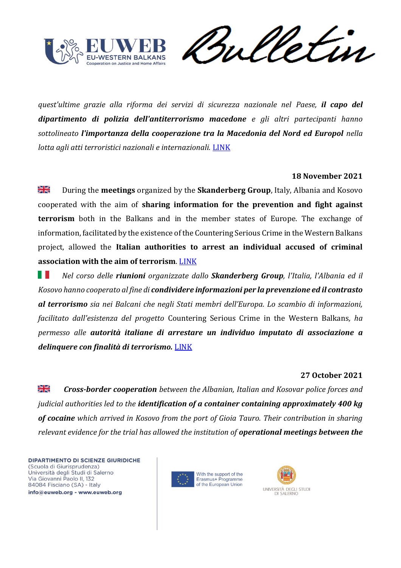

*quest'ultime grazie alla riforma dei servizi di sicurezza nazionale nel Paese, il capo del dipartimento di polizia dell'antiterrorismo macedone e gli altri partecipanti hanno sottolineato l'importanza della cooperazione tra la Macedonia del Nord ed Europol nella lotta agli atti terroristici nazionali e internazionali.* [LINK](https://cscwb.info/2021/11/18/macedonian-institutions-advantages-of-cooperation-with-europol-in-the-fight-against-terrorism/)

#### **18 November 2021**

浸 During the **meetings** organized by the **Skanderberg Group**, Italy, Albania and Kosovo cooperated with the aim of **sharing information for the prevention and fight against terrorism** both in the Balkans and in the member states of Europe. The exchange of information, facilitated by the existence of the Countering Serious Crime in the Western Balkans project, allowed the **Italian authorities to arrest an individual accused of criminal association with the aim of terrorism**. [LINK](https://cscwb.info/2021/11/18/csc-wb-countering-terrorism-one-person-arrested-by-italian-police/)

ш *Nel corso delle riunioni organizzate dallo Skanderberg Group, l'Italia, l'Albania ed il Kosovo hanno cooperato al fine di condividere informazioni per la prevenzione ed il contrasto al terrorismo sia nei Balcani che negli Stati membri dell'Europa. Lo scambio di informazioni, facilitato dall'esistenza del progetto* Countering Serious Crime in the Western Balkans*, ha permesso alle autorità italiane di arrestare un individuo imputato di associazione a delinquere con finalità di terrorismo.* [LINK](https://cscwb.info/2021/11/18/csc-wb-countering-terrorism-one-person-arrested-by-italian-police/)

## **27 October 2021**

꼭 *Cross-border cooperation between the Albanian, Italian and Kosovar police forces and judicial authorities led to the identification of a container containing approximately 400 kg of cocaine which arrived in Kosovo from the port of Gioia Tauro. Their contribution in sharing relevant evidence for the trial has allowed the institution of operational meetings between the* 



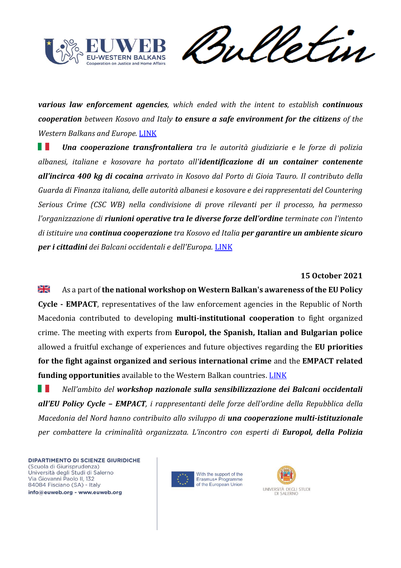

Sulletin

*various law enforcement agencies, which ended with the intent to establish continuous cooperation between Kosovo and Italy to ensure a safe environment for the citizens of the Western Balkans and Europe.* [LINK](https://cscwb.info/2021/10/27/a-cross-border-operation-between-kosovo-albania-and-italy-results-in-the-seizure-of-400-kg-of-cocaine/)

ш *Una cooperazione transfrontaliera tra le autorità giudiziarie e le forze di polizia albanesi, italiane e kosovare ha portato all'identificazione di un container contenente all'incirca 400 kg di cocaina arrivato in Kosovo dal Porto di Gioia Tauro. Il contributo della Guarda di Finanza italiana, delle autorità albanesi e kosovare e dei rappresentati del Countering Serious Crime (CSC WB) nella condivisione di prove rilevanti per il processo, ha permesso l'organizzazione di riunioni operative tra le diverse forze dell'ordine terminate con l'intento di istituire una continua cooperazione tra Kosovo ed Italia per garantire un ambiente sicuro per i cittadini dei Balcani occidentali e dell'Europa.* [LINK](https://cscwb.info/2021/10/27/a-cross-border-operation-between-kosovo-albania-and-italy-results-in-the-seizure-of-400-kg-of-cocaine/)

#### **15 October 2021**

≱ছ As a part of **the national workshop on Western Balkan's awareness of the EU Policy Cycle - EMPACT**, representatives of the law enforcement agencies in the Republic of North Macedonia contributed to developing **multi-institutional cooperation** to fight organized crime. The meeting with experts from **Europol, the Spanish, Italian and Bulgarian police** allowed a fruitful exchange of experiences and future objectives regarding the **EU priorities for the fight against organized and serious international crime** and the **EMPACT related funding opportunities** available to the Western Balkan countries. [LINK](https://cscwb.info/2021/10/15/macedonian-law-enforcement-practitioners-dig-deeper-into-empact/)

. . *Nell'ambito del workshop nazionale sulla sensibilizzazione dei Balcani occidentali all'EU Policy Cycle – EMPACT, i rappresentanti delle forze dell'ordine della Repubblica della Macedonia del Nord hanno contribuito allo sviluppo di una cooperazione multi-istituzionale per combattere la criminalità organizzata. L'incontro con esperti di Europol, della Polizia* 



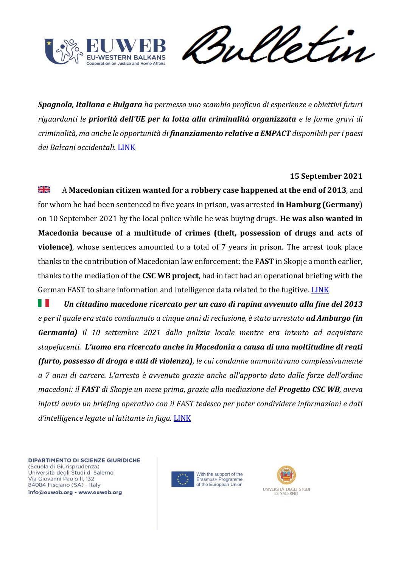

weletin

*Spagnola, Italiana e Bulgara ha permesso uno scambio proficuo di esperienze e obiettivi futuri riguardanti le priorità dell'UE per la lotta alla criminalità organizzata e le forme gravi di criminalità, ma anche le opportunità di finanziamento relative a EMPACT disponibili per i paesi dei Balcani occidentali.* [LINK](https://cscwb.info/2021/10/15/macedonian-law-enforcement-practitioners-dig-deeper-into-empact/)

### **15 September 2021**

질 K A **Macedonian citizen wanted for a robbery case happened at the end of 2013**, and for whom he had been sentenced to five years in prison, was arrested **in Hamburg (Germany**) on 10 September 2021 by the local police while he was buying drugs. **He was also wanted in Macedonia because of a multitude of crimes (theft, possession of drugs and acts of violence)**, whose sentences amounted to a total of 7 years in prison. The arrest took place thanks to the contribution of Macedonian law enforcement: the **FAST** in Skopje a month earlier, thanks to the mediation of the **CSC WB project**, had in fact had an operational briefing with the German FAST to share information and intelligence data related to the fugitive. [LINK](https://cscwb.info/2021/09/15/high-level-cooperation-between-fast-north-macedonia-and-fast-germany/)

w *Un cittadino macedone ricercato per un caso di rapina avvenuto alla fine del 2013 e per il quale era stato condannato a cinque anni di reclusione, è stato arrestato ad Amburgo (in Germania) il 10 settembre 2021 dalla polizia locale mentre era intento ad acquistare stupefacenti. L'uomo era ricercato anche in Macedonia a causa di una moltitudine di reati (furto, possesso di droga e atti di violenza), le cui condanne ammontavano complessivamente a 7 anni di carcere. L'arresto è avvenuto grazie anche all'apporto dato dalle forze dell'ordine macedoni: il FAST di Skopje un mese prima, grazie alla mediazione del Progetto CSC WB, aveva infatti avuto un briefing operativo con il FAST tedesco per poter condividere informazioni e dati d'intelligence legate al latitante in fuga.* [LINK](https://cscwb.info/2021/09/15/high-level-cooperation-between-fast-north-macedonia-and-fast-germany/)



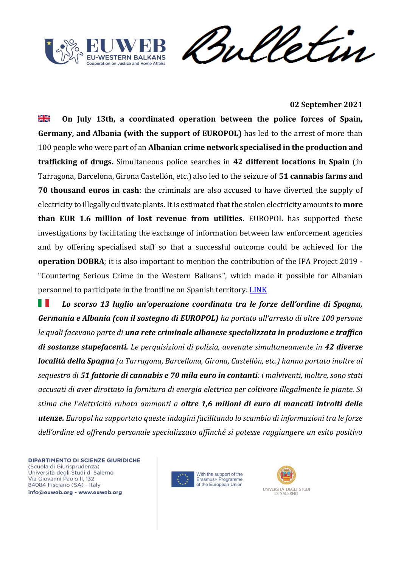



**02 September 2021**

≱≼ **On July 13th, a coordinated operation between the police forces of Spain, Germany, and Albania (with the support of EUROPOL)** has led to the arrest of more than 100 people who were part of an **Albanian crime network specialised in the production and trafficking of drugs.** Simultaneous police searches in **42 different locations in Spain** (in Tarragona, Barcelona, Girona Castellón, etc.) also led to the seizure of **51 cannabis farms and 70 thousand euros in cash**: the criminals are also accused to have diverted the supply of electricity to illegally cultivate plants. It is estimated that the stolen electricity amounts to **more than EUR 1.6 million of lost revenue from utilities.** EUROPOL has supported these investigations by facilitating the exchange of information between law enforcement agencies and by offering specialised staff so that a successful outcome could be achieved for the **operation DOBRA**; it is also important to mention the contribution of the IPA Project 2019 - "Countering Serious Crime in the Western Balkans", which made it possible for Albanian personnel to participate in the frontline on Spanish territory. [LINK](https://cscwb.info/2021/09/02/high-impact-cross-border-operation-dobra-spain/)

ш *Lo scorso 13 luglio un'operazione coordinata tra le forze dell'ordine di Spagna, Germania e Albania (con il sostegno di EUROPOL) ha portato all'arresto di oltre 100 persone le quali facevano parte di una rete criminale albanese specializzata in produzione e traffico di sostanze stupefacenti. Le perquisizioni di polizia, avvenute simultaneamente in 42 diverse località della Spagna (a Tarragona, Barcellona, Girona, Castellón, etc.) hanno portato inoltre al sequestro di 51 fattorie di cannabis e 70 mila euro in contanti: i malviventi, inoltre, sono stati accusati di aver dirottato la fornitura di energia elettrica per coltivare illegalmente le piante. Si stima che l'elettricità rubata ammonti a oltre 1,6 milioni di euro di mancati introiti delle utenze. Europol ha supportato queste indagini facilitando lo scambio di informazioni tra le forze dell'ordine ed offrendo personale specializzato affinché si potesse raggiungere un esito positivo* 



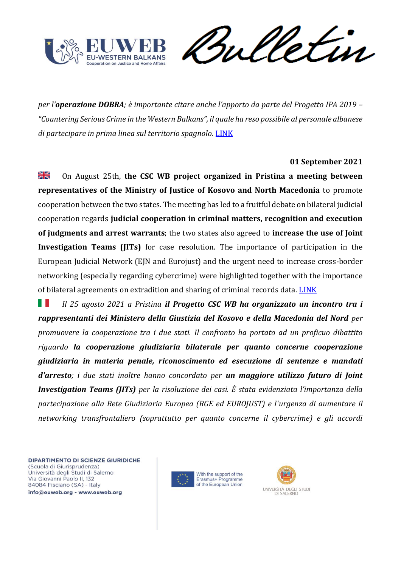

Sulletin

*per l'operazione DOBRA; è importante citare anche l'apporto da parte del Progetto IPA 2019 – "Countering Serious Crime in the Western Balkans", il quale ha reso possibile al personale albanese di partecipare in prima linea sul territorio spagnolo.* [LINK](https://cscwb.info/2021/09/02/high-impact-cross-border-operation-dobra-spain/)

#### **01 September 2021**

≫l⊠ On August 25th, **the CSC WB project organized in Pristina a meeting between representatives of the Ministry of Justice of Kosovo and North Macedonia** to promote cooperation between the two states. The meeting has led to a fruitful debate on bilateral judicial cooperation regards **judicial cooperation in criminal matters, recognition and execution of judgments and arrest warrants**; the two states also agreed to **increase the use of Joint Investigation Teams (JITs)** for case resolution. The importance of participation in the European Judicial Network (EJN and Eurojust) and the urgent need to increase cross-border networking (especially regarding cybercrime) were highlighted together with the importance of bilateral agreements on extradition and sharing of criminal records data. [LINK](https://cscwb.info/2021/09/01/macedonian-and-kosovan-ministries-of-justice-to-strengthen-legal-cooperation-in-criminal-matters/)

ш *Il 25 agosto 2021 a Pristina il Progetto CSC WB ha organizzato un incontro tra i rappresentanti dei Ministero della Giustizia del Kosovo e della Macedonia del Nord per promuovere la cooperazione tra i due stati. Il confronto ha portato ad un proficuo dibattito riguardo la cooperazione giudiziaria bilaterale per quanto concerne cooperazione giudiziaria in materia penale, riconoscimento ed esecuzione di sentenze e mandati d'arresto; i due stati inoltre hanno concordato per un maggiore utilizzo futuro di Joint Investigation Teams (JITs) per la risoluzione dei casi. È stata evidenziata l'importanza della partecipazione alla Rete Giudiziaria Europea (RGE ed EUROJUST) e l'urgenza di aumentare il networking transfrontaliero (soprattutto per quanto concerne il cybercrime) e gli accordi* 



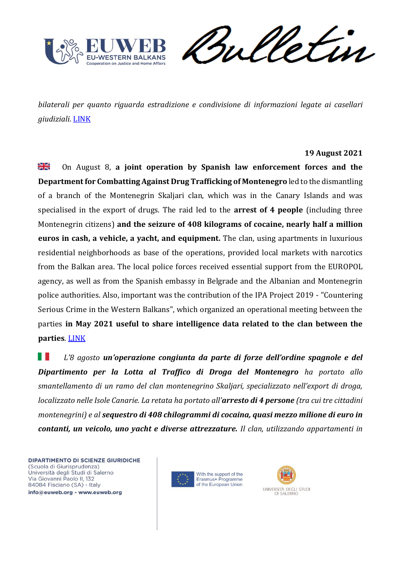

weletin

*bilaterali per quanto riguarda estradizione e condivisione di informazioni legate ai casellari giudiziali.* [LINK](https://cscwb.info/2021/09/01/macedonian-and-kosovan-ministries-of-justice-to-strengthen-legal-cooperation-in-criminal-matters/)

### **19 August 2021**

≫l⊠<br>21R On August 8, **a joint operation by Spanish law enforcement forces and the Department for Combatting Against Drug Trafficking of Montenegro** led to the dismantling of a branch of the Montenegrin Skaljari clan, which was in the Canary Islands and was specialised in the export of drugs. The raid led to the **arrest of 4 people** (including three Montenegrin citizens) **and the seizure of 408 kilograms of cocaine, nearly half a million euros in cash, a vehicle, a yacht, and equipment.** The clan, using apartments in luxurious residential neighborhoods as base of the operations, provided local markets with narcotics from the Balkan area. The local police forces received essential support from the EUROPOL agency, as well as from the Spanish embassy in Belgrade and the Albanian and Montenegrin police authorities. Also, important was the contribution of the IPA Project 2019 - "Countering Serious Crime in the Western Balkans", which organized an operational meeting between the parties **in May 2021 useful to share intelligence data related to the clan between the parties**. [LINK](https://cscwb.info/2021/08/19/seizure-of-more-than-400-kilograms-of-high-purity-cocaine-and-almost-half-a-million-eur-in-cash/)

H *L'8 agosto un'operazione congiunta da parte di forze dell'ordine spagnole e del Dipartimento per la Lotta al Traffico di Droga del Montenegro ha portato allo smantellamento di un ramo del clan montenegrino Skaljari, specializzato nell'export di droga, localizzato nelle Isole Canarie. La retata ha portato all'arresto di 4 persone (tra cui tre cittadini montenegrini) e al sequestro di 408 chilogrammi di cocaina, quasi mezzo milione di euro in contanti, un veicolo, uno yacht e diverse attrezzature. Il clan, utilizzando appartamenti in* 



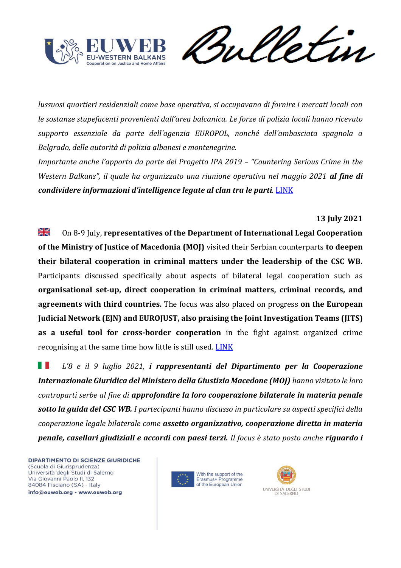

Sulletin

*lussuosi quartieri residenziali come base operativa, si occupavano di fornire i mercati locali con le sostanze stupefacenti provenienti dall'area balcanica. Le forze di polizia locali hanno ricevuto supporto essenziale da parte dell'agenzia EUROPOL, nonché dell'ambasciata spagnola a Belgrado, delle autorità di polizia albanesi e montenegrine.*

*Importante anche l'apporto da parte del Progetto IPA 2019 – "Countering Serious Crime in the Western Balkans", il quale ha organizzato una riunione operativa nel maggio 2021 al fine di condividere informazioni d'intelligence legate al clan tra le parti.* [LINK](https://cscwb.info/2021/08/19/seizure-of-more-than-400-kilograms-of-high-purity-cocaine-and-almost-half-a-million-eur-in-cash/)

## **13 July 2021**

≫l⊠<br>≫l On 8-9 July, **representatives of the Department of International Legal Cooperation of the Ministry of Justice of Macedonia (MOJ)** visited their Serbian counterparts **to deepen their bilateral cooperation in criminal matters under the leadership of the CSC WB.** Participants discussed specifically about aspects of bilateral legal cooperation such as **organisational set-up, direct cooperation in criminal matters, criminal records, and agreements with third countries.** The focus was also placed on progress **on the European Judicial Network (EJN) and EUROJUST, also praising the Joint Investigation Teams (JITS) as a useful tool for cross-border cooperation** in the fight against organized crime recognising at the same time how little is still used[. LINK](https://cscwb.info/2021/07/13/macedonian-and-serbian-ministries-of-justice-exchange-on-international-legal-cooperation-in-criminal-matters/)

. . *L'8 e il 9 luglio 2021, i rappresentanti del Dipartimento per la Cooperazione Internazionale Giuridica del Ministero della Giustizia Macedone (MOJ) hanno visitato le loro controparti serbe al fine di approfondire la loro cooperazione bilaterale in materia penale sotto la guida del CSC WB. I partecipanti hanno discusso in particolare su aspetti specifici della cooperazione legale bilaterale come assetto organizzativo, cooperazione diretta in materia penale, casellari giudiziali e accordi con paesi terzi. Il focus è stato posto anche riguardo i* 



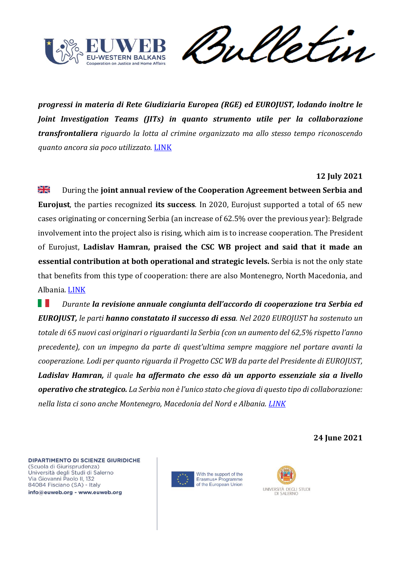

Verin W

*progressi in materia di Rete Giudiziaria Europea (RGE) ed EUROJUST, lodando inoltre le Joint Investigation Teams (JITs) in quanto strumento utile per la collaborazione transfrontaliera riguardo la lotta al crimine organizzato ma allo stesso tempo riconoscendo quanto ancora sia poco utilizzato.* [LINK](https://cscwb.info/2021/07/13/macedonian-and-serbian-ministries-of-justice-exchange-on-international-legal-cooperation-in-criminal-matters/)

### **12 July 2021**

浸 During the **joint annual review of the Cooperation Agreement between Serbia and Eurojust**, the parties recognized **its success**. In 2020, Eurojust supported a total of 65 new cases originating or concerning Serbia (an increase of 62.5% over the previous year): Belgrade involvement into the project also is rising, which aim is to increase cooperation. The President of Eurojust, **Ladislav Hamran, praised the CSC WB project and said that it made an essential contribution at both operational and strategic levels.** Serbia is not the only state that benefits from this type of cooperation: there are also Montenegro, North Macedonia, and Albania. [LINK](https://cscwb.info/2021/07/12/almost-63-increase-of-newly-registered-cases-with-serbian-involvement-at-eurojust/)

. . *Durante la revisione annuale congiunta dell'accordo di cooperazione tra Serbia ed EUROJUST, le parti hanno constatato il successo di essa. Nel 2020 EUROJUST ha sostenuto un totale di 65 nuovi casi originari o riguardanti la Serbia (con un aumento del 62,5% rispetto l'anno precedente), con un impegno da parte di quest'ultima sempre maggiore nel portare avanti la cooperazione. Lodi per quanto riguarda il Progetto CSC WB da parte del Presidente di EUROJUST, Ladislav Hamran, il quale ha affermato che esso dà un apporto essenziale sia a livello operativo che strategico. La Serbia non è l'unico stato che giova di questo tipo di collaborazione: nella lista ci sono anche Montenegro, Macedonia del Nord e Albania. [LINK](https://cscwb.info/2021/07/12/almost-63-increase-of-newly-registered-cases-with-serbian-involvement-at-eurojust/)*

**24 June 2021**



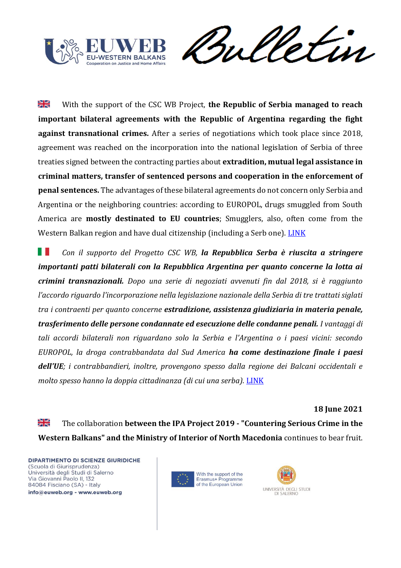

Sulletin

꼭 With the support of the CSC WB Project, **the Republic of Serbia managed to reach important bilateral agreements with the Republic of Argentina regarding the fight against transnational crimes.** After a series of negotiations which took place since 2018, agreement was reached on the incorporation into the national legislation of Serbia of three treaties signed between the contracting parties about **extradition, mutual legal assistance in criminal matters, transfer of sentenced persons and cooperation in the enforcement of penal sentences.** The advantages of these bilateral agreements do not concern only Serbia and Argentina or the neighboring countries: according to EUROPOL, drugs smuggled from South America are **mostly destinated to EU countries**; Smugglers, also, often come from the Western Balkan region and have dual citizenship (including a Serb one). [LINK](https://cscwb.info/2021/06/24/three-agreements-between-the-republic-of-serbia-and-the-argentine-republic-incorporated-into-national-legislation/)

. . *Con il supporto del Progetto CSC WB, la Repubblica Serba è riuscita a stringere importanti patti bilaterali con la Repubblica Argentina per quanto concerne la lotta ai crimini transnazionali. Dopo una serie di negoziati avvenuti fin dal 2018, si è raggiunto l'accordo riguardo l'incorporazione nella legislazione nazionale della Serbia di tre trattati siglati tra i contraenti per quanto concerne estradizione, assistenza giudiziaria in materia penale, trasferimento delle persone condannate ed esecuzione delle condanne penali. I vantaggi di tali accordi bilaterali non riguardano solo la Serbia e l'Argentina o i paesi vicini: secondo EUROPOL, la droga contrabbandata dal Sud America ha come destinazione finale i paesi dell'UE; i contrabbandieri, inoltre, provengono spesso dalla regione dei Balcani occidentali e molto spesso hanno la doppia cittadinanza (di cui una serba).* [LINK](https://cscwb.info/2021/06/24/three-agreements-between-the-republic-of-serbia-and-the-argentine-republic-incorporated-into-national-legislation/)

**18 June 2021**

≱ছ The collaboration **between the IPA Project 2019 - "Countering Serious Crime in the Western Balkans" and the Ministry of Interior of North Macedonia** continues to bear fruit.



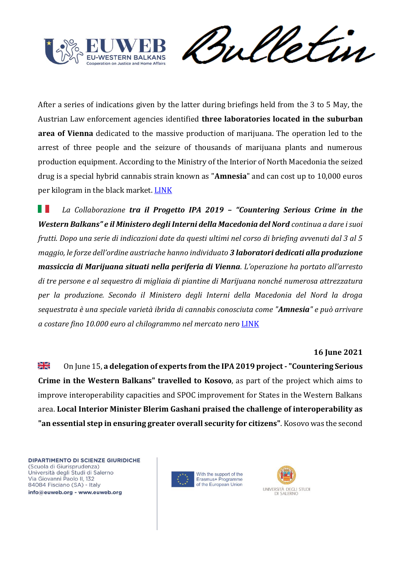

Vetin rul

After a series of indications given by the latter during briefings held from the 3 to 5 May, the Austrian Law enforcement agencies identified **three laboratories located in the suburban area of Vienna** dedicated to the massive production of marijuana. The operation led to the arrest of three people and the seizure of thousands of marijuana plants and numerous production equipment. According to the Ministry of the Interior of North Macedonia the seized drug is a special hybrid cannabis strain known as "**Amnesia**" and can cost up to 10,000 euros per kilogram in the black market. [LINK](https://cscwb.info/2021/06/18/from-operative-meetings-to-operative-actions/)

ш *La Collaborazione tra il Progetto IPA 2019 – "Countering Serious Crime in the Western Balkans" e il Ministero degli Interni della Macedonia del Nord continua a dare i suoi frutti. Dopo una serie di indicazioni date da questi ultimi nel corso di briefing avvenuti dal 3 al 5 maggio, le forze dell'ordine austriache hanno individuato 3 laboratori dedicati alla produzione massiccia di Marijuana situati nella periferia di Vienna. L'operazione ha portato all'arresto di tre persone e al sequestro di migliaia di piantine di Marijuana nonché numerosa attrezzatura per la produzione. Secondo il Ministero degli Interni della Macedonia del Nord la droga sequestrata è una speciale varietà ibrida di cannabis conosciuta come "Amnesia" e può arrivare a costare fino 10.000 euro al chilogrammo nel mercato nero* [LINK](https://cscwb.info/2021/06/18/from-operative-meetings-to-operative-actions/)

#### **16 June 2021**

꽃 On June 15, **a delegation of experts from the IPA 2019 project - "Countering Serious Crime in the Western Balkans" travelled to Kosovo**, as part of the project which aims to improve interoperability capacities and SPOC improvement for States in the Western Balkans area. **Local Interior Minister Blerim Gashani praised the challenge of interoperability as "an essential step in ensuring greater overall security for citizens"**. Kosovo was the second



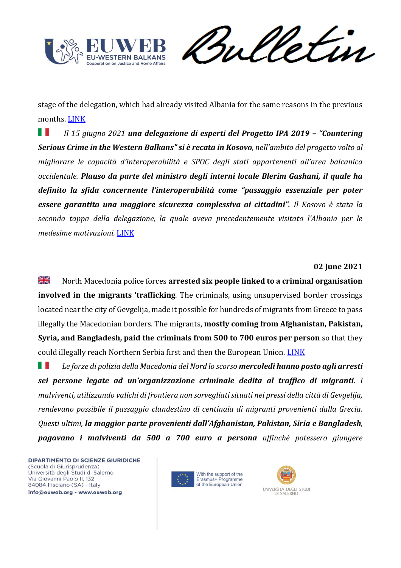

Sulletin

stage of the delegation, which had already visited Albania for the same reasons in the previous months. [LINK](https://cscwb.info/2021/06/16/visit-of-csc-wb-experts-in-kosovo-aiming-at-improving-interoperability-and-spoc-enhancement/)

. . *Il 15 giugno 2021 una delegazione di esperti del Progetto IPA 2019 – "Countering Serious Crime in the Western Balkans" si è recata in Kosovo, nell'ambito del progetto volto al migliorare le capacità d'interoperabilità e SPOC degli stati appartenenti all'area balcanica occidentale. Plauso da parte del ministro degli interni locale Blerim Gashani, il quale ha definito la sfida concernente l'interoperabilità come "passaggio essenziale per poter essere garantita una maggiore sicurezza complessiva ai cittadini". Il Kosovo è stata la seconda tappa della delegazione, la quale aveva precedentemente visitato l'Albania per le medesime motivazioni.* [LINK](https://cscwb.info/2021/06/16/visit-of-csc-wb-experts-in-kosovo-aiming-at-improving-interoperability-and-spoc-enhancement/)

#### **02 June 2021**

질은<br>제주 North Macedonia police forces **arrested six people linked to a criminal organisation involved in the migrants 'trafficking**. The criminals, using unsupervised border crossings located near the city of Gevgelija, made it possible for hundreds of migrants from Greece to pass illegally the Macedonian borders. The migrants, **mostly coming from Afghanistan, Pakistan, Syria, and Bangladesh, paid the criminals from 500 to 700 euros per person** so that they could illegally reach Northern Serbia first and then the European Union. [LINK](https://www.euronews.com/2021/06/03/north-macedonian-police-arrest-six-people-over-migrant-smuggling-ring)

ш *Le forze di polizia della Macedonia del Nord lo scorso mercoledì hanno posto agli arresti sei persone legate ad un'organizzazione criminale dedita al traffico di migranti. I malviventi, utilizzando valichi di frontiera non sorvegliati situati nei pressi della città di Gevgelija, rendevano possibile il passaggio clandestino di centinaia di migranti provenienti dalla Grecia. Questi ultimi, la maggior parte provenienti dall'Afghanistan, Pakistan, Siria e Bangladesh, pagavano i malviventi da 500 a 700 euro a persona affinché potessero giungere*



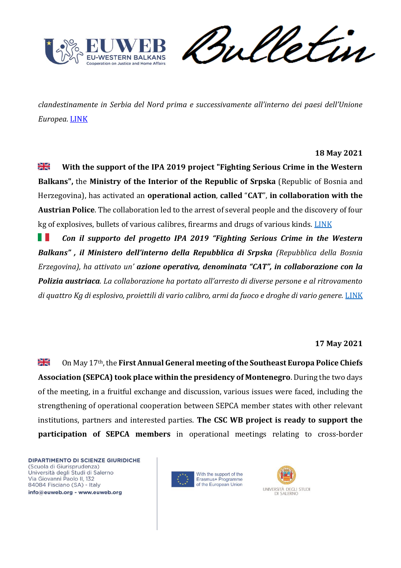

Sulletin

*clandestinamente in Serbia del Nord prima e successivamente all'interno dei paesi dell'Unione Europea.* [LINK](https://www.euronews.com/2021/06/03/north-macedonian-police-arrest-six-people-over-migrant-smuggling-ring)

### **18 May 2021**

≱ছ **With the support of the IPA 2019 project "Fighting Serious Crime in the Western Balkans",** the **Ministry of the Interior of the Republic of Srpska** (Republic of Bosnia and Herzegovina), has activated an **operational action**, **called** "**CAT**", **in collaboration with the Austrian Police**. The collaboration led to the arrest of several people and the discovery of four kg of explosives, bullets of various calibres, firearms and drugs of various kinds. [LINK](https://mup.vladars.net/eng/index.php?vijest=26175&vrsta)

. . *Con il supporto del progetto IPA 2019 "Fighting Serious Crime in the Western Balkans" , il Ministero dell'interno della Repubblica di Srpska (Repubblica della Bosnia Erzegovina), ha attivato un' azione operativa, denominata "CAT", in collaborazione con la Polizia austriaca. La collaborazione ha portato all'arresto di diverse persone e al ritrovamento di quattro Kg di esplosivo, proiettili di vario calibro, armi da fuoco e droghe di vario genere.* [LINK](https://mup.vladars.net/eng/index.php?vijest=26175&vrsta)

#### **17 May 2021**

≱ছ On May 17th, the **First Annual General meeting of the Southeast Europa Police Chiefs Association (SEPCA) took place within the presidency of Montenegro**. During the two days of the meeting, in a fruitful exchange and discussion, various issues were faced, including the strengthening of operational cooperation between SEPCA member states with other relevant institutions, partners and interested parties. **The CSC WB project is ready to support the participation of SEPCA members** in operational meetings relating to cross-border



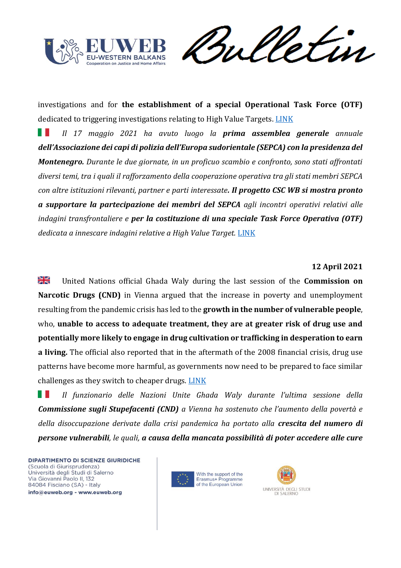

Sulletin

investigations and for **the establishment of a special Operational Task Force (OTF)** dedicated to triggering investigations relating to High Value Targets. LINK

*Il 17 maggio 2021 ha avuto luogo la prima assemblea generale annuale*  . . *dell'Associazione dei capi di polizia dell'Europa sudorientale (SEPCA) con la presidenza del Montenegro. Durante le due giornate, in un proficuo scambio e confronto, sono stati affrontati diversi temi, tra i quali il rafforzamento della cooperazione operativa tra gli stati membri SEPCA con altre istituzioni rilevanti, partner e parti interessate. Il progetto CSC WB si mostra pronto a supportare la partecipazione dei membri del SEPCA agli incontri operativi relativi alle indagini transfrontaliere e per la costituzione di una speciale Task Force Operativa (OTF) dedicata a innescare indagini relative a High Value Target.* [LINK](https://cscwb.info/2021/05/17/csc-wb-ipa-2019-project-participation-to-the-first-virtual-general-assembly-meeting-police-cooperation-in-fighting-transnational-organized-crime-in-sepca-region/)

# **12 April 2021**

질은<br>제주 United Nations official Ghada Waly during the last session of the **Commission on Narcotic Drugs (CND)** in Vienna argued that the increase in poverty and unemployment resulting from the pandemic crisis has led to the **growth in the number of vulnerable people**, who, **unable to access to adequate treatment, they are at greater risk of drug use and potentially more likely to engage in drug cultivation or trafficking in desperation to earn a living.** The official also reported that in the aftermath of the 2008 financial crisis, drug use patterns have become more harmful, as governments now need to be prepared to face similar challenges as they switch to cheaper drugs. [LINK](https://news.un.org/en/story/2021/04/1089572) 

*Il funzionario delle Nazioni Unite Ghada Waly durante l'ultima sessione della*  H *Commissione sugli Stupefacenti (CND) a Vienna ha sostenuto che l'aumento della povertà e della disoccupazione derivate dalla crisi pandemica ha portato alla crescita del numero di persone vulnerabili, le quali, a causa della mancata possibilità di poter accedere alle cure* 



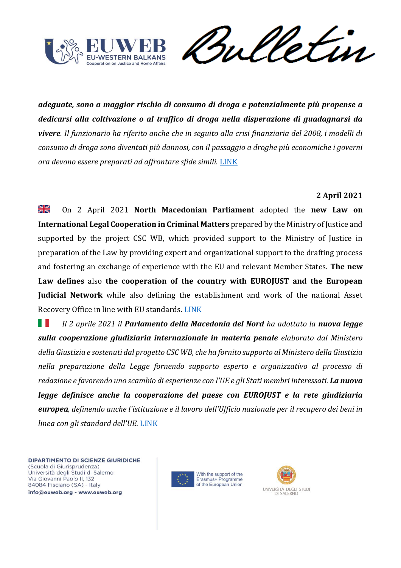

Sulletin

*adeguate, sono a maggior rischio di consumo di droga e potenzialmente più propense a dedicarsi alla coltivazione o al traffico di droga nella disperazione di guadagnarsi da vivere. Il funzionario ha riferito anche che in seguito alla crisi finanziaria del 2008, i modelli di consumo di droga sono diventati più dannosi, con il passaggio a droghe più economiche i governi ora devono essere preparati ad affrontare sfide simili.* [LINK](https://news.un.org/en/story/2021/04/1089572) 

### **2 April 2021**

≱⊮ On 2 April 2021 **North Macedonian Parliament** adopted the **new Law on International Legal Cooperation in Criminal Matters** prepared by the Ministry of Justice and supported by the project CSC WB, which provided support to the Ministry of Justice in preparation of the Law by providing expert and organizational support to the drafting process and fostering an exchange of experience with the EU and relevant Member States. **The new Law defines** also **the cooperation of the country with EUROJUST and the European Judicial Network** while also defining the establishment and work of the national Asset Recovery Office in line with EU standards. [LINK](https://cscwb.info/2021/04/23/north-macedonia-adopts-new-law-on-international-legal-cooperation/) 

H *Il 2 aprile 2021 il Parlamento della Macedonia del Nord ha adottato la nuova legge sulla cooperazione giudiziaria internazionale in materia penale elaborato dal Ministero della Giustizia e sostenuti dal progetto CSC WB, che ha fornito supporto al Ministero della Giustizia nella preparazione della Legge fornendo supporto esperto e organizzativo al processo di redazione e favorendo uno scambio di esperienze con l'UE e gli Stati membri interessati. La nuova legge definisce anche la cooperazione del paese con EUROJUST e la rete giudiziaria europea, definendo anche l'istituzione e il lavoro dell'Ufficio nazionale per il recupero dei beni in linea con gli standard dell'UE.* [LINK](https://cscwb.info/2021/04/23/north-macedonia-adopts-new-law-on-international-legal-cooperation/) 



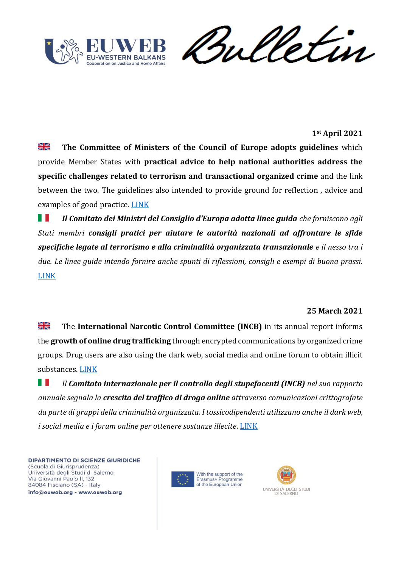

## **1st April 2021**

꾍 **The Committee of Ministers of the Council of Europe adopts guidelines** which provide Member States with **practical advice to help national authorities address the specific challenges related to terrorism and transactional organized crime** and the link between the two. The guidelines also intended to provide ground for reflection , advice and examples of good practice. [LINK](https://www.coe.int/en/web/cm/news/-/asset_publisher/hwwluK1RCEJo/content/links-between-terrorism-and-transnational-organised-crime-committee-of-ministers-adopts-guidelines/16695?inheritRedirect=false&redirect=https%3A%2F%2Fwww.coe.int%2Fen%2Fweb%2Fcm%2Fnews%3Fp_p_id%3D101_INSTANCE_hwwluK1RCEJo%26p_p_lifecycle%3D0%26p_p_state%3Dnormal%26p_p_mode%3Dview%26p_p_col_id%3Dcolumn-4%26p_p_col_pos%3D1%26p_p_col_count%3D2) 

Ш *Il Comitato dei Ministri del Consiglio d'Europa adotta linee guida che forniscono agli Stati membri consigli pratici per aiutare le autorità nazionali ad affrontare le sfide specifiche legate al terrorismo e alla criminalità organizzata transazionale e il nesso tra i due. Le linee guide intendo fornire anche spunti di riflessioni, consigli e esempi di buona prassi.*  [LINK](https://www.coe.int/en/web/cm/news/-/asset_publisher/hwwluK1RCEJo/content/links-between-terrorism-and-transnational-organised-crime-committee-of-ministers-adopts-guidelines/16695?inheritRedirect=false&redirect=https%3A%2F%2Fwww.coe.int%2Fen%2Fweb%2Fcm%2Fnews%3Fp_p_id%3D101_INSTANCE_hwwluK1RCEJo%26p_p_lifecycle%3D0%26p_p_state%3Dnormal%26p_p_mode%3Dview%26p_p_col_id%3Dcolumn-4%26p_p_col_pos%3D1%26p_p_col_count%3D2) 

#### **25 March 2021**

질은<br>제주 The **International Narcotic Control Committee (INCB)** in its annual report informs the **growth of online drug trafficking** through encrypted communications by organized crime groups. Drug users are also using the dark web, social media and online forum to obtain illicit substances. [LINK](https://news.un.org/en/story/2021/03/1088252) 

H *Il Comitato internazionale per il controllo degli stupefacenti (INCB) nel suo rapporto annuale segnala la crescita del traffico di droga online attraverso comunicazioni crittografate da parte di gruppi della criminalità organizzata. I tossicodipendenti utilizzano anche il dark web, i social media e i forum online per ottenere sostanze illecite*. [LINK](https://news.un.org/en/story/2021/03/1088252) 



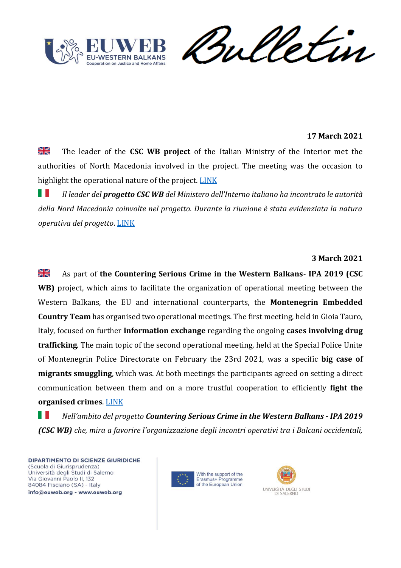

meletin

## **17 March 2021**

≱ছ The leader of the **CSC WB project** of the Italian Ministry of the Interior met the authorities of North Macedonia involved in the project. The meeting was the occasion to highlight the operational nature of the project. LINK

. . *Il leader del progetto CSC WB del Ministero dell'Interno italiano ha incontrato le autorità della Nord Macedonia coinvolte nel progetto. Durante la riunione è stata evidenziata la natura operativa del progetto*. [LINK](https://cscwb.info/2021/03/17/working-meeting-between-the-csc-wb-project-leader-of-the-italian-ministry-of-interior-and-the-authorities-of-the-republic-of-north-macedonia/) 

#### **3 March 2021**

≥ ⊠<br>21 As part of **the Countering Serious Crime in the Western Balkans- IPA 2019 (CSC WB)** project, which aims to facilitate the organization of operational meeting between the Western Balkans, the EU and international counterparts, the **Montenegrin Embedded Country Team** has organised two operational meetings. The first meeting, held in Gioia Tauro, Italy, focused on further **information exchange** regarding the ongoing **cases involving drug trafficking**. The main topic of the second operational meeting, held at the Special Police Unite of Montenegrin Police Directorate on February the 23rd 2021, was a specific **big case of migrants smuggling**, which was. At both meetings the participants agreed on setting a direct communication between them and on a more trustful cooperation to efficiently **fight the organised crimes**. [LINK](https://cscwb.info/2021/03/03/operational-meetings-montenegro-countering-big-smuggling-of-migrant-case-and-further-cooperation-on-ongoing-cases-in-drugs-trafficking/)

w *Nell'ambito del progetto Countering Serious Crime in the Western Balkans - IPA 2019 (CSC WB) che, mira a favorire l'organizzazione degli incontri operativi tra i Balcani occidentali,* 



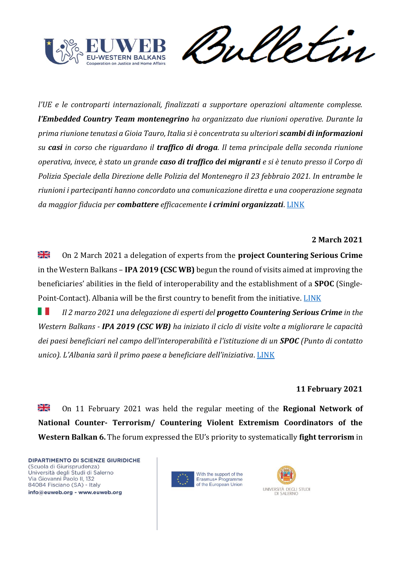



*l'UE e le controparti internazionali, finalizzati a supportare operazioni altamente complesse. l'Embedded Country Team montenegrino ha organizzato due riunioni operative. Durante la prima riunione tenutasi a Gioia Tauro, Italia si è concentrata su ulteriori scambi di informazioni su casi in corso che riguardano il traffico di droga. Il tema principale della seconda riunione operativa, invece, è stato un grande caso di traffico dei migranti e si è tenuto presso il Corpo di Polizia Speciale della Direzione delle Polizia del Montenegro il 23 febbraio 2021. In entrambe le riunioni i partecipanti hanno concordato una comunicazione diretta e una cooperazione segnata da maggior fiducia per combattere efficacemente i crimini organizzati*. [LINK](https://cscwb.info/2021/03/03/operational-meetings-montenegro-countering-big-smuggling-of-migrant-case-and-further-cooperation-on-ongoing-cases-in-drugs-trafficking/)

## **2 March 2021**

≱ছ On 2 March 2021 a delegation of experts from the **project Countering Serious Crime** in the Western Balkans – **IPA 2019 (CSC WB)** begun the round of visits aimed at improving the beneficiaries' abilities in the field of interoperability and the establishment of a **SPOC** (Single-Point-Contact). Albania will be the first country to benefit from the initiative. LINK

ш *Il 2 marzo 2021 una delegazione di esperti del progetto Countering Serious Crime in the Western Balkans - IPA 2019 (CSC WB) ha iniziato il ciclo di visite volte a migliorare le capacità dei paesi beneficiari nel campo dell'interoperabilità e l'istituzione di un SPOC (Punto di contatto unico). L'Albania sarà il primo paese a beneficiare dell'iniziativa*. [LINK](https://cscwb.info/2021/03/04/technical-visit-to-albania-of-the-technicians-from-ior-rome/) 

#### **11 February 2021**

≱≼ On 11 February 2021 was held the regular meeting of the **Regional Network of National Counter- Terrorism/ Countering Violent Extremism Coordinators of the Western Balkan 6.** The forum expressed the EU's priority to systematically **fight terrorism** in



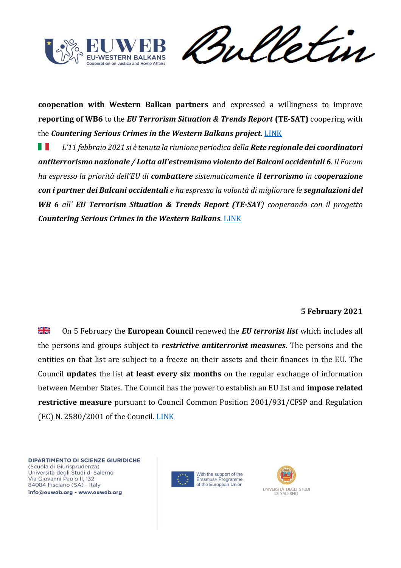

meletin

**cooperation with Western Balkan partners** and expressed a willingness to improve **reporting of WB6** to the *EU Terrorism Situation & Trends Report* **(TE-SAT)** coopering with the *Countering Serious Crimes in the Western Balkans project*. [LINK](https://cscwb.info/author/tihana-puzic/) 

ш *L'11 febbraio 2021 si è tenuta la riunione periodica della Rete regionale dei coordinatori antiterrorismo nazionale / Lotta all'estremismo violento dei Balcani occidentali 6. Il Forum ha espresso la priorità dell'EU di combattere sistematicamente il terrorismo in cooperazione con i partner dei Balcani occidentali e ha espresso la volontà di migliorare le segnalazioni del WB 6 all' EU Terrorism Situation & Trends Report (TE-SAT) cooperando con il progetto Countering Serious Crimes in the Western Balkans*. [LINK](https://cscwb.info/author/tihana-puzic/)

## **5 February 2021**

≫l⊠ On 5 February the **European Council** renewed the *EU terrorist list* which includes all the persons and groups subject to *restrictive antiterrorist measures*. The persons and the entities on that list are subject to a freeze on their assets and their finances in the EU. The Council **updates** the list **at least every six months** on the regular exchange of information between Member States. The Council has the power to establish an EU list and **impose related restrictive measure** pursuant to Council Common Position 2001/931/CFSP and Regulation (EC) N. 2580/2001 of the Council. [LINK](https://www.consilium.europa.eu/en/press/press-releases/2021/02/05/fight-against-terrorism-council-renews-the-eu-terrorist-list-for-a-further-six-months/)



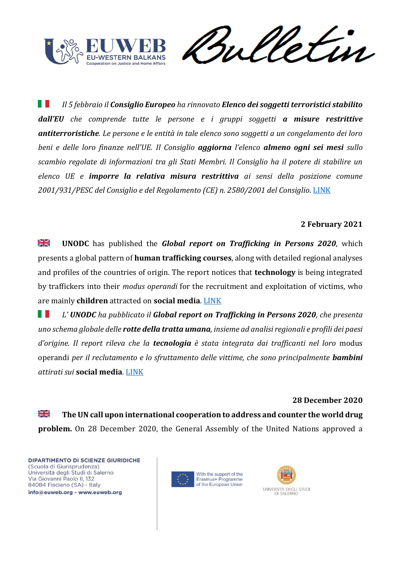

rul

Ш *Il 5 febbraio il Consiglio Europeo ha rinnovato Elenco dei soggetti terroristici stabilito dall'EU che comprende tutte le persone e i gruppi soggetti a misure restrittive antiterroristiche. Le persone e le entità in tale elenco sono soggetti a un congelamento dei loro beni e delle loro finanze nell'UE. Il Consiglio aggiorna l'elenco almeno ogni sei mesi sullo scambio regolate di informazioni tra gli Stati Membri. Il Consiglio ha il potere di stabilire un elenco UE e imporre la relativa misura restrittiva ai sensi della posizione comune 2001/931/PESC del Consiglio e del Regolamento (CE) n. 2580/2001 del Consiglio*. [LINK](https://www.consilium.europa.eu/it/policies/fight-against-terrorism/terrorist-list/) 

### **2 February 2021**

≱≼ **UNODC** has published the *Global report on Trafficking in Persons 2020*, which presents a global pattern of **human trafficking courses**, along with detailed regional analyses and profiles of the countries of origin. The report notices that **technology** is being integrated by traffickers into their *modus operandi* for the recruitment and exploitation of victims, who are mainly **children** attracted on **social media**. [LINK](https://news.un.org/en/story/2021/02/1083542) 

ш *L' UNODC ha pubblicato il Global report on Trafficking in Persons 2020, che presenta uno schema globale delle rotte della tratta umana, insieme ad analisi regionali e profili dei paesi d'origine. Il report rileva che la tecnologia è stata integrata dai trafficanti nel loro* modus operandi *per il reclutamento e lo sfruttamento delle vittime, che sono principalmente bambini attirati sui* **social media**[. LINK](https://news.un.org/en/story/2021/02/1083542)

#### **28 December 2020**

≱ਵ **The UN call upon international cooperation to address and counter the world drug problem.** On 28 December 2020, the General Assembly of the United Nations approved a



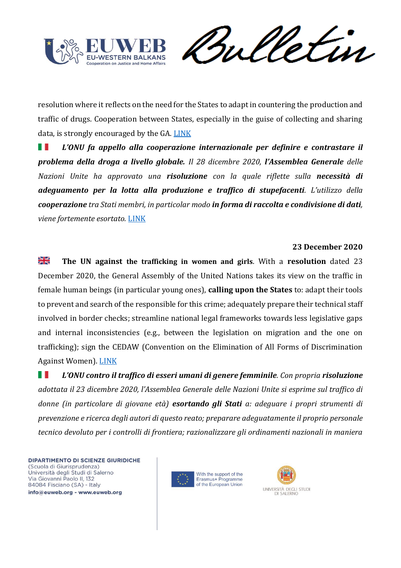

Vetin rul

resolution where it reflects on the need for the States to adapt in countering the production and traffic of drugs. Cooperation between States, especially in the guise of collecting and sharing data, is strongly encouraged by the GA. [LINK](https://undocs.org/en/A/RES/75/198)

ш *L'ONU fa appello alla cooperazione internazionale per definire e contrastare il problema della droga a livello globale. Il 28 dicembre 2020, l'Assemblea Generale delle Nazioni Unite ha approvato una risoluzione con la quale riflette sulla necessità di adeguamento per la lotta alla produzione e traffico di stupefacenti. L'utilizzo della cooperazione tra Stati membri, in particolar modo in forma di raccolta e condivisione di dati, viene fortemente esortato.* [LINK](https://undocs.org/en/A/RES/75/198)

### **23 December 2020**

≱ছ **The UN against the trafficking in women and girls**. With a **resolution** dated 23 December 2020, the General Assembly of the United Nations takes its view on the traffic in female human beings (in particular young ones), **calling upon the States** to: adapt their tools to prevent and search of the responsible for this crime; adequately prepare their technical staff involved in border checks; streamline national legal frameworks towards less legislative gaps and internal inconsistencies (e.g., between the legislation on migration and the one on trafficking); sign the CEDAW (Convention on the Elimination of All Forms of Discrimination Against Women). [LINK](https://undocs.org/en/A/RES/75/158)

H *L'ONU contro il traffico di esseri umani di genere femminile. Con propria risoluzione adottata il 23 dicembre 2020, l'Assemblea Generale delle Nazioni Unite si esprime sul traffico di donne (in particolare di giovane età) esortando gli Stati a: adeguare i propri strumenti di prevenzione e ricerca degli autori di questo reato; preparare adeguatamente il proprio personale tecnico devoluto per i controlli di frontiera; razionalizzare gli ordinamenti nazionali in maniera* 



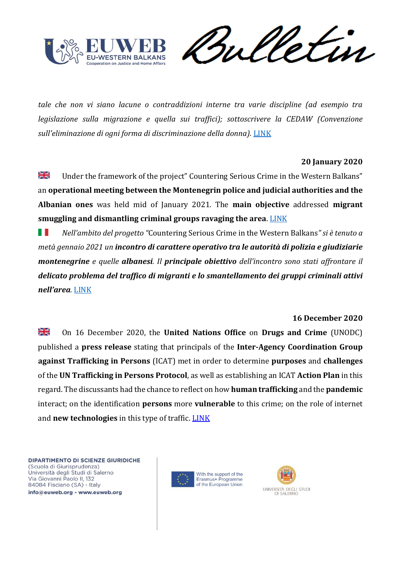

etin

*tale che non vi siano lacune o contraddizioni interne tra varie discipline (ad esempio tra legislazione sulla migrazione e quella sui traffici); sottoscrivere la CEDAW (Convenzione*  sull'eliminazione di ogni forma di discriminazione della donna). [LINK](https://undocs.org/en/A/RES/75/158)

## **20 January 2020**

≱≼ Under the framework of the project" Countering Serious Crime in the Western Balkans" an **operational meeting between the Montenegrin police and judicial authorities and the Albanian ones** was held mid of January 2021. The **main objective** addressed **migrant smuggling and dismantling criminal groups ravaging the area**. [LINK](https://cscwb.info/2021/01/20/operational-meetings-between-montenegro-and-albania/)

H *Nell'ambito del progetto "*Countering Serious Crime in the Western Balkans*" si è tenuto a metà gennaio 2021 un incontro di carattere operativo tra le autorità di polizia e giudiziarie montenegrine e quelle albanesi. Il principale obiettivo dell'incontro sono stati affrontare il delicato problema del traffico di migranti e lo smantellamento dei gruppi criminali attivi nell'area.* [LINK](https://cscwb.info/2021/01/20/operational-meetings-between-montenegro-and-albania/)

## **16 December 2020**

꼭 On 16 December 2020, the **United Nations Office** on **Drugs and Crime** (UNODC) published a **press release** stating that principals of the **Inter-Agency Coordination Group against Trafficking in Persons** (ICAT) met in order to determine **purposes** and **challenges** of the **UN Trafficking in Persons Protocol**, as well as establishing an ICAT **Action Plan** in this regard. The discussants had the chance to reflect on how **human trafficking** and the **pandemic** interact; on the identification **persons** more **vulnerable** to this crime; on the role of internet and **new technologies** in this type of traffic. [LINK](https://www.unodc.org/unodc/press/releases/2020/December/leading-un-forum-renews-commitment-to-countering-human-trafficking.html)



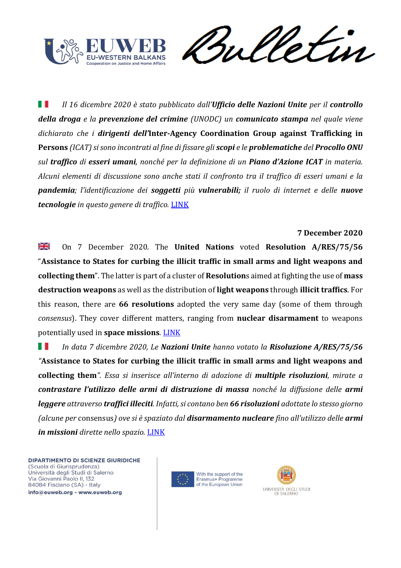

Sulletin

H I *Il 16 dicembre 2020 è stato pubblicato dall'Ufficio delle Nazioni Unite per il controllo della droga e la prevenzione del crimine (UNODC) un comunicato stampa nel quale viene dichiarato che i dirigenti dell'***Inter-Agency Coordination Group against Trafficking in Persons** *(ICAT) si sono incontrati al fine di fissare gli scopi e le problematiche del Procollo ONU sul traffico di esseri umani, nonché per la definizione di un Piano d'Azione ICAT in materia. Alcuni elementi di discussione sono anche stati il confronto tra il traffico di esseri umani e la pandemia; l'identificazione dei soggetti più vulnerabili; il ruolo di internet e delle nuove tecnologie in questo genere di traffico.* [LINK](https://www.unodc.org/unodc/press/releases/2020/December/leading-un-forum-renews-commitment-to-countering-human-trafficking.html)

### **7 December 2020**

≱≼ On 7 December 2020. The **United Nations** voted **Resolution A/RES/75/56** "**Assistance to States for curbing the illicit traffic in small arms and light weapons and collecting them**". The latter is part of a cluster of **Resolution**s aimed at fighting the use of **mass destruction weapons** as well as the distribution of **light weapons** through **illicit traffics**. For this reason, there are **66 resolutions** adopted the very same day (some of them through *consensus*). They cover different matters, ranging from **nuclear disarmament** to weapons potentially used in **space missions**. [LINK](https://www.un.org/press/en/2020/ga12296.doc.htm)

w *In data 7 dicembre 2020, Le Nazioni Unite hanno votato la Risoluzione A/RES/75/56 "***Assistance to States for curbing the illicit traffic in small arms and light weapons and collecting them***". Essa si inserisce all'interno di adozione di multiple risoluzioni, mirate a contrastare l'utilizzo delle armi di distruzione di massa nonché la diffusione delle armi leggere attraverso traffici illeciti. Infatti, si contano ben 66 risoluzioni adottate lo stesso giorno (alcune per* consensus*) ove si è spaziato dal disarmamento nucleare fino all'utilizzo delle armi in missioni dirette nello spazio.* [LINK](https://www.un.org/press/en/2020/ga12296.doc.htm)



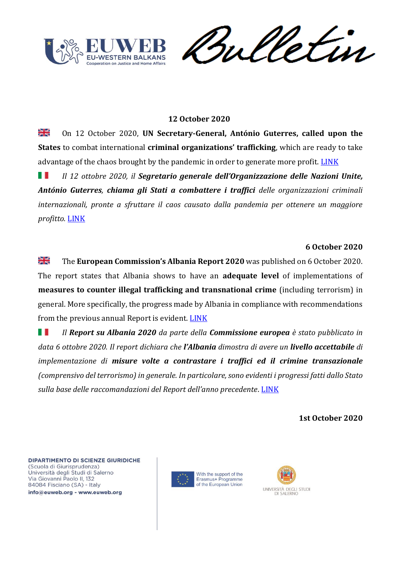

weletin

## **12 October 2020**

꽃 On 12 October 2020, **UN Secretary-General, António Guterres, called upon the States** to combat international **criminal organizations' trafficking**, which are ready to take advantage of the chaos brought by the pandemic in order to generate more profit. [LINK](https://news.un.org/en/story/2020/10/1075182)

*Il 12 ottobre 2020, il Segretario generale dell'Organizzazione delle Nazioni Unite,*  . . *António Guterres, chiama gli Stati a combattere i traffici delle organizzazioni criminali internazionali, pronte a sfruttare il caos causato dalla pandemia per ottenere un maggiore profitto.* [LINK](https://news.un.org/en/story/2020/10/1075182)

### **6 October 2020**

≱≼ The **European Commission's Albania Report 2020** was published on 6 October 2020. The report states that Albania shows to have an **adequate level** of implementations of **measures to counter illegal trafficking and transnational crime** (including terrorism) in general. More specifically, the progress made by Albania in compliance with recommendations from the previous annual Report is evident. [LINK](https://ec.europa.eu/neighbourhood-enlargement/sites/near/files/albania_report_2020.pdf)

H I *Il Report su Albania 2020 da parte della Commissione europea è stato pubblicato in data 6 ottobre 2020. Il report dichiara che l'Albania dimostra di avere un livello accettabile di implementazione di misure volte a contrastare i traffici ed il crimine transazionale (comprensivo del terrorismo) in generale. In particolare, sono evidenti i progressi fatti dallo Stato sulla base delle raccomandazioni del Report dell'anno precedente*. [LINK](https://ec.europa.eu/neighbourhood-enlargement/sites/near/files/albania_report_2020.pdf)

**1st October 2020**